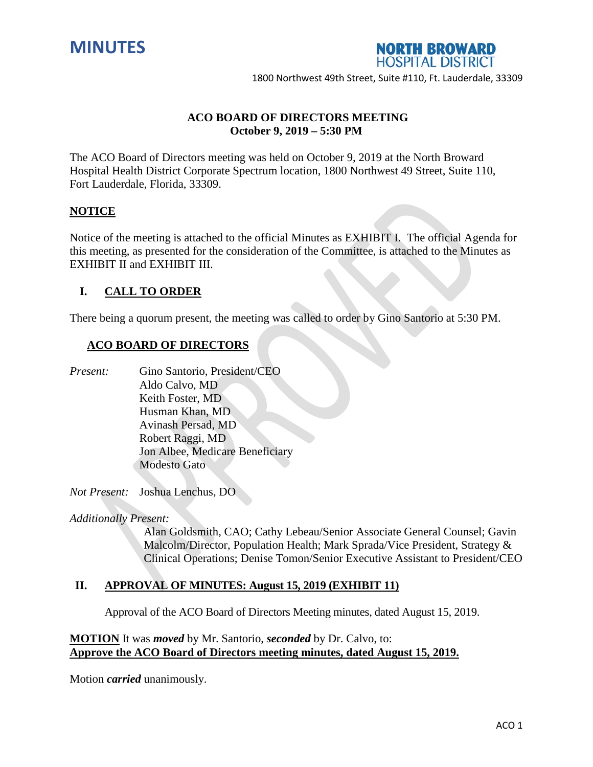



1800 Northwest 49th Street, Suite #110, Ft. Lauderdale, 33309

# **ACO BOARD OF DIRECTORS MEETING October 9, 2019 – 5:30 PM**

The ACO Board of Directors meeting was held on October 9, 2019 at the North Broward Hospital Health District Corporate Spectrum location, 1800 Northwest 49 Street, Suite 110, Fort Lauderdale, Florida, 33309.

## **NOTICE**

Notice of the meeting is attached to the official Minutes as EXHIBIT I. The official Agenda for this meeting, as presented for the consideration of the Committee, is attached to the Minutes as EXHIBIT II and EXHIBIT III.

## **I. CALL TO ORDER**

There being a quorum present, the meeting was called to order by Gino Santorio at 5:30 PM.

## **ACO BOARD OF DIRECTORS**

*Present:* Gino Santorio, President/CEO

Aldo Calvo, MD Keith Foster, MD Husman Khan, MD Avinash Persad, MD Robert Raggi, MD Jon Albee, Medicare Beneficiary Modesto Gato

*Not Present:* Joshua Lenchus, DO

*Additionally Present:*

Alan Goldsmith, CAO; Cathy Lebeau/Senior Associate General Counsel; Gavin Malcolm/Director, Population Health; Mark Sprada/Vice President, Strategy & Clinical Operations; Denise Tomon/Senior Executive Assistant to President/CEO

# **II. APPROVAL OF MINUTES: August 15, 2019 (EXHIBIT 11)**

Approval of the ACO Board of Directors Meeting minutes, dated August 15, 2019.

**MOTION** It was *moved* by Mr. Santorio, *seconded* by Dr. Calvo, to: **Approve the ACO Board of Directors meeting minutes, dated August 15, 2019.**

Motion *carried* unanimously.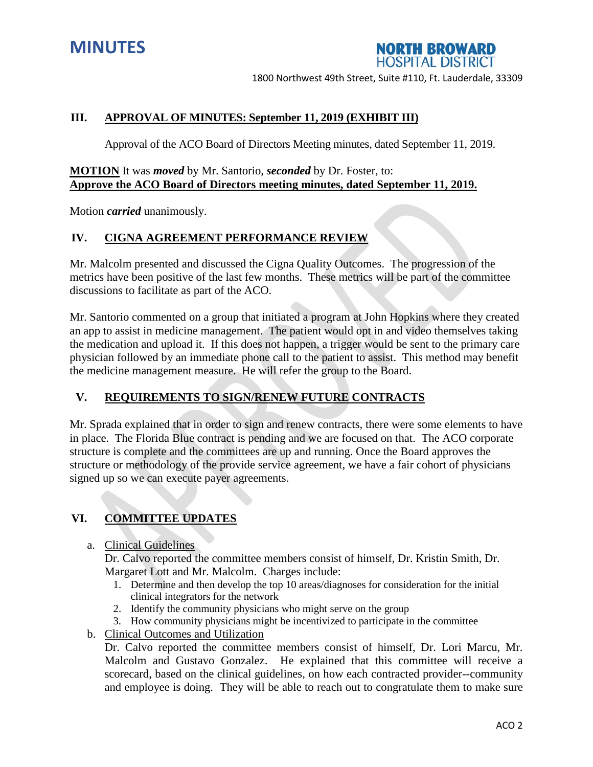



1800 Northwest 49th Street, Suite #110, Ft. Lauderdale, 33309

# **III. APPROVAL OF MINUTES: September 11, 2019 (EXHIBIT III)**

Approval of the ACO Board of Directors Meeting minutes, dated September 11, 2019.

## **MOTION** It was *moved* by Mr. Santorio, *seconded* by Dr. Foster, to: **Approve the ACO Board of Directors meeting minutes, dated September 11, 2019.**

Motion *carried* unanimously.

## **IV. CIGNA AGREEMENT PERFORMANCE REVIEW**

Mr. Malcolm presented and discussed the Cigna Quality Outcomes. The progression of the metrics have been positive of the last few months. These metrics will be part of the committee discussions to facilitate as part of the ACO.

Mr. Santorio commented on a group that initiated a program at John Hopkins where they created an app to assist in medicine management. The patient would opt in and video themselves taking the medication and upload it. If this does not happen, a trigger would be sent to the primary care physician followed by an immediate phone call to the patient to assist. This method may benefit the medicine management measure. He will refer the group to the Board.

# **V. REQUIREMENTS TO SIGN/RENEW FUTURE CONTRACTS**

Mr. Sprada explained that in order to sign and renew contracts, there were some elements to have in place. The Florida Blue contract is pending and we are focused on that. The ACO corporate structure is complete and the committees are up and running. Once the Board approves the structure or methodology of the provide service agreement, we have a fair cohort of physicians signed up so we can execute payer agreements.

# **VI. COMMITTEE UPDATES**

a. Clinical Guidelines

Dr. Calvo reported the committee members consist of himself, Dr. Kristin Smith, Dr. Margaret Lott and Mr. Malcolm. Charges include:

- 1. Determine and then develop the top 10 areas/diagnoses for consideration for the initial clinical integrators for the network
- 2. Identify the community physicians who might serve on the group
- 3. How community physicians might be incentivized to participate in the committee
- b. Clinical Outcomes and Utilization

Dr. Calvo reported the committee members consist of himself, Dr. Lori Marcu, Mr. Malcolm and Gustavo Gonzalez. He explained that this committee will receive a scorecard, based on the clinical guidelines, on how each contracted provider--community and employee is doing. They will be able to reach out to congratulate them to make sure